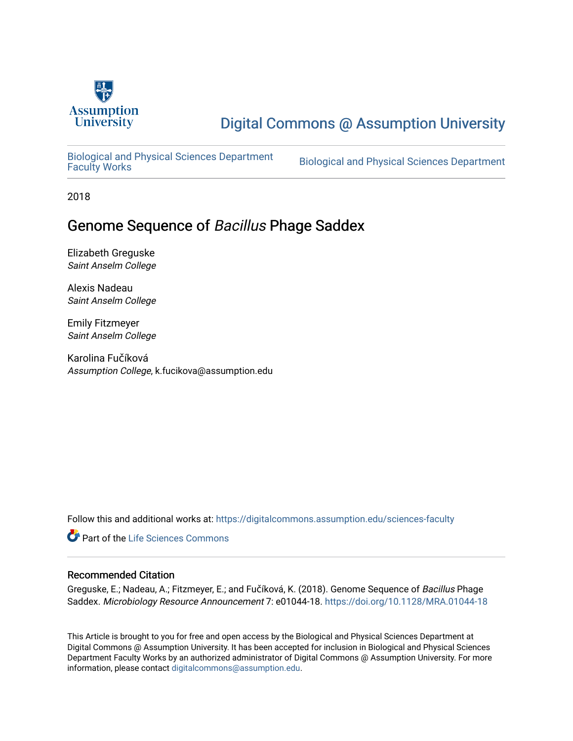

## [Digital Commons @ Assumption University](https://digitalcommons.assumption.edu/)

[Biological and Physical Sciences Department](https://digitalcommons.assumption.edu/sciences-faculty)

Biological and Physical Sciences Department

2018

### Genome Sequence of Bacillus Phage Saddex

Elizabeth Greguske Saint Anselm College

Alexis Nadeau Saint Anselm College

Emily Fitzmeyer Saint Anselm College

Karolina Fučíková Assumption College, k.fucikova@assumption.edu

Follow this and additional works at: [https://digitalcommons.assumption.edu/sciences-faculty](https://digitalcommons.assumption.edu/sciences-faculty?utm_source=digitalcommons.assumption.edu%2Fsciences-faculty%2F14&utm_medium=PDF&utm_campaign=PDFCoverPages) 

Part of the [Life Sciences Commons](http://network.bepress.com/hgg/discipline/1016?utm_source=digitalcommons.assumption.edu%2Fsciences-faculty%2F14&utm_medium=PDF&utm_campaign=PDFCoverPages) 

### Recommended Citation

Greguske, E.; Nadeau, A.; Fitzmeyer, E.; and Fučíková, K. (2018). Genome Sequence of Bacillus Phage Saddex. Microbiology Resource Announcement 7: e01044-18.<https://doi.org/10.1128/MRA.01044-18>

This Article is brought to you for free and open access by the Biological and Physical Sciences Department at Digital Commons @ Assumption University. It has been accepted for inclusion in Biological and Physical Sciences Department Faculty Works by an authorized administrator of Digital Commons @ Assumption University. For more information, please contact [digitalcommons@assumption.edu.](mailto:digitalcommons@assumption.edu)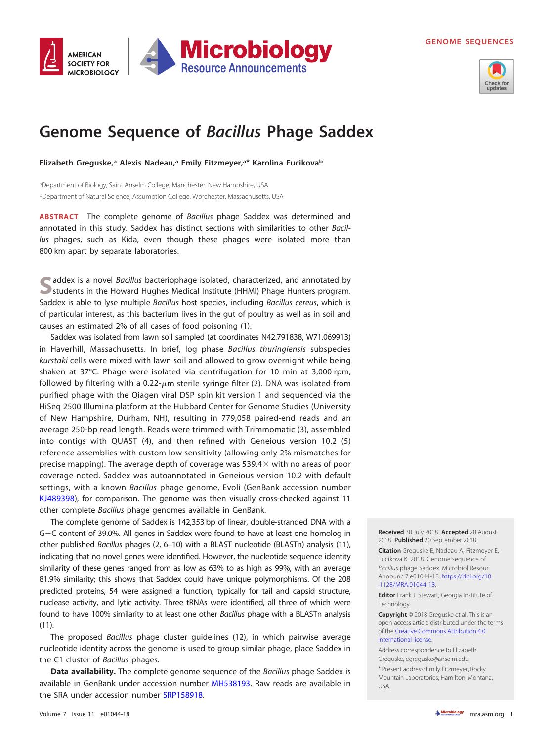**GENOME SEQUENCES**





# **Genome Sequence of Bacillus Phage Saddex**

**Elizabeth Greguske,a Alexis Nadeau,a Emily Fitzmeyer,a\* Karolina Fucikovab**

<sup>a</sup>Department of Biology, Saint Anselm College, Manchester, New Hampshire, USA <sup>b</sup>Department of Natural Science, Assumption College, Worchester, Massachusetts, USA

**ABSTRACT** The complete genome of Bacillus phage Saddex was determined and annotated in this study. Saddex has distinct sections with similarities to other Bacillus phages, such as Kida, even though these phages were isolated more than 800 km apart by separate laboratories.

addex is a novel Bacillus bacteriophage isolated, characterized, and annotated by students in the Howard Hughes Medical Institute (HHMI) Phage Hunters program. Saddex is able to lyse multiple Bacillus host species, including Bacillus cereus, which is of particular interest, as this bacterium lives in the gut of poultry as well as in soil and causes an estimated 2% of all cases of food poisoning [\(1\)](#page-2-0).

Saddex was isolated from lawn soil sampled (at coordinates N42.791838, W71.069913) in Haverhill, Massachusetts. In brief, log phase Bacillus thuringiensis subspecies kurstaki cells were mixed with lawn soil and allowed to grow overnight while being shaken at 37°C. Phage were isolated via centrifugation for 10 min at 3,000 rpm, followed by filtering with a 0.22- $\mu$ m sterile syringe filter [\(2\)](#page-2-1). DNA was isolated from purified phage with the Qiagen viral DSP spin kit version 1 and sequenced via the HiSeq 2500 Illumina platform at the Hubbard Center for Genome Studies (University of New Hampshire, Durham, NH), resulting in 779,058 paired-end reads and an average 250-bp read length. Reads were trimmed with Trimmomatic [\(3\)](#page-2-2), assembled into contigs with QUAST [\(4\)](#page-2-3), and then refined with Geneious version 10.2 [\(5\)](#page-2-4) reference assemblies with custom low sensitivity (allowing only 2% mismatches for precise mapping). The average depth of coverage was 539.4 $\times$  with no areas of poor coverage noted. Saddex was autoannotated in Geneious version 10.2 with default settings, with a known Bacillus phage genome, Evoli (GenBank accession number [KJ489398\)](https://www.ncbi.nlm.nih.gov/nuccore/KJ489398), for comparison. The genome was then visually cross-checked against 11 other complete Bacillus phage genomes available in GenBank.

The complete genome of Saddex is 142,353 bp of linear, double-stranded DNA with a  $G+C$  content of 39.0%. All genes in Saddex were found to have at least one homolog in other published Bacillus phages [\(2,](#page-2-1) [6](#page-2-5)[–](#page-2-6)[10\)](#page-2-7) with a BLAST nucleotide (BLASTn) analysis [\(11\)](#page-2-8), indicating that no novel genes were identified. However, the nucleotide sequence identity similarity of these genes ranged from as low as 63% to as high as 99%, with an average 81.9% similarity; this shows that Saddex could have unique polymorphisms. Of the 208 predicted proteins, 54 were assigned a function, typically for tail and capsid structure, nuclease activity, and lytic activity. Three tRNAs were identified, all three of which were found to have 100% similarity to at least one other Bacillus phage with a BLASTn analysis [\(11\)](#page-2-8).

The proposed Bacillus phage cluster guidelines [\(12\)](#page-2-9), in which pairwise average nucleotide identity across the genome is used to group similar phage, place Saddex in the C1 cluster of Bacillus phages.

**Data availability.** The complete genome sequence of the Bacillus phage Saddex is available in GenBank under accession number [MH538193.](https://www.ncbi.nlm.nih.gov/nuccore/MH538193) Raw reads are available in the SRA under accession number [SRP158918.](https://www.ncbi.nlm.nih.gov/sra/SRP158918)

**Received** 30 July 2018 **Accepted** 28 August 2018 **Published** 20 September 2018

**Citation** Greguske E, Nadeau A, Fitzmeyer E, Fucikova K. 2018. Genome sequence of Bacillus phage Saddex. Microbiol Resour Announc 7:e01044-18. [https://doi.org/10](https://doi.org/10.1128/MRA.01044-18) [.1128/MRA.01044-18.](https://doi.org/10.1128/MRA.01044-18)

**Editor** Frank J. Stewart, Georgia Institute of Technology

**Copyright** © 2018 Greguske et al. This is an open-access article distributed under the terms of the [Creative Commons Attribution 4.0](https://creativecommons.org/licenses/by/4.0/) [International license.](https://creativecommons.org/licenses/by/4.0/)

Address correspondence to Elizabeth Greguske, [egreguske@anselm.edu.](mailto:egreguske@anselm.edu)

\* Present address: Emily Fitzmeyer, Rocky Mountain Laboratories, Hamilton, Montana, USA.